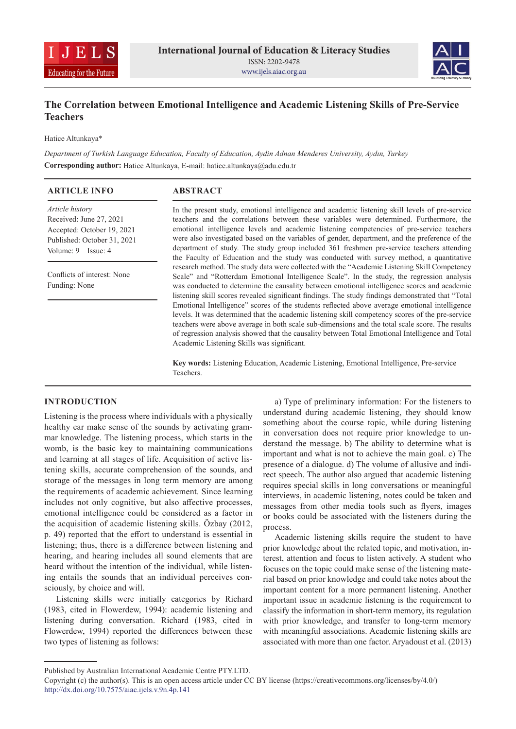



# **The Correlation between Emotional Intelligence and Academic Listening Skills of Pre-Service Teachers**

Hatice Altunkaya\*

*Department of Turkish Language Education, Faculty of Education, Aydin Adnan Menderes University, Aydın, Turkey* **Corresponding author:** Hatice Altunkaya, E-mail: hatice.altunkaya@adu.edu.tr

| <b>ARTICLE INFO</b>                                                                                                                                                                  | <b>ABSTRACT</b>                                                                                                                                                                                                                                                                                                                                                                                                                                                                                                                                                                                                                                                                                                                                                                                                                                         |
|--------------------------------------------------------------------------------------------------------------------------------------------------------------------------------------|---------------------------------------------------------------------------------------------------------------------------------------------------------------------------------------------------------------------------------------------------------------------------------------------------------------------------------------------------------------------------------------------------------------------------------------------------------------------------------------------------------------------------------------------------------------------------------------------------------------------------------------------------------------------------------------------------------------------------------------------------------------------------------------------------------------------------------------------------------|
| <i>Article history</i><br>Received: June 27, 2021<br>Accepted: October 19, 2021<br>Published: October 31, 2021<br>Volume: 9 Issue: 4<br>Conflicts of interest: None<br>Funding: None | In the present study, emotional intelligence and academic listening skill levels of pre-service<br>teachers and the correlations between these variables were determined. Furthermore, the<br>emotional intelligence levels and academic listening competencies of pre-service teachers<br>were also investigated based on the variables of gender, department, and the preference of the<br>department of study. The study group included 361 freshmen pre-service teachers attending<br>the Faculty of Education and the study was conducted with survey method, a quantitative                                                                                                                                                                                                                                                                       |
|                                                                                                                                                                                      | research method. The study data were collected with the "Academic Listening Skill Competency<br>Scale" and "Rotterdam Emotional Intelligence Scale". In the study, the regression analysis<br>was conducted to determine the causality between emotional intelligence scores and academic<br>listening skill scores revealed significant findings. The study findings demonstrated that "Total<br>Emotional Intelligence" scores of the students reflected above average emotional intelligence<br>levels. It was determined that the academic listening skill competency scores of the pre-service<br>teachers were above average in both scale sub-dimensions and the total scale score. The results<br>of regression analysis showed that the causality between Total Emotional Intelligence and Total<br>Academic Listening Skills was significant. |
|                                                                                                                                                                                      | Key words: Listening Education, Academic Listening, Emotional Intelligence, Pre-service                                                                                                                                                                                                                                                                                                                                                                                                                                                                                                                                                                                                                                                                                                                                                                 |

Teachers.

# **INTRODUCTION**

Listening is the process where individuals with a physically healthy ear make sense of the sounds by activating grammar knowledge. The listening process, which starts in the womb, is the basic key to maintaining communications and learning at all stages of life. Acquisition of active listening skills, accurate comprehension of the sounds, and storage of the messages in long term memory are among the requirements of academic achievement. Since learning includes not only cognitive, but also affective processes, emotional intelligence could be considered as a factor in the acquisition of academic listening skills. Özbay (2012, p. 49) reported that the effort to understand is essential in listening; thus, there is a difference between listening and hearing, and hearing includes all sound elements that are heard without the intention of the individual, while listening entails the sounds that an individual perceives consciously, by choice and will.

Listening skills were initially categories by Richard (1983, cited in Flowerdew, 1994): academic listening and listening during conversation. Richard (1983, cited in Flowerdew, 1994) reported the differences between these two types of listening as follows:

a) Type of preliminary information: For the listeners to understand during academic listening, they should know something about the course topic, while during listening in conversation does not require prior knowledge to understand the message. b) The ability to determine what is important and what is not to achieve the main goal. c) The presence of a dialogue. d) The volume of allusive and indirect speech. The author also argued that academic listening requires special skills in long conversations or meaningful interviews, in academic listening, notes could be taken and messages from other media tools such as flyers, images or books could be associated with the listeners during the process.

Academic listening skills require the student to have prior knowledge about the related topic, and motivation, interest, attention and focus to listen actively. A student who focuses on the topic could make sense of the listening material based on prior knowledge and could take notes about the important content for a more permanent listening. Another important issue in academic listening is the requirement to classify the information in short-term memory, its regulation with prior knowledge, and transfer to long-term memory with meaningful associations. Academic listening skills are associated with more than one factor. Aryadoust et al. (2013)

Published by Australian International Academic Centre PTY.LTD.

Copyright (c) the author(s). This is an open access article under CC BY license (https://creativecommons.org/licenses/by/4.0/) http://dx.doi.org/10.7575/aiac.ijels.v.9n.4p.141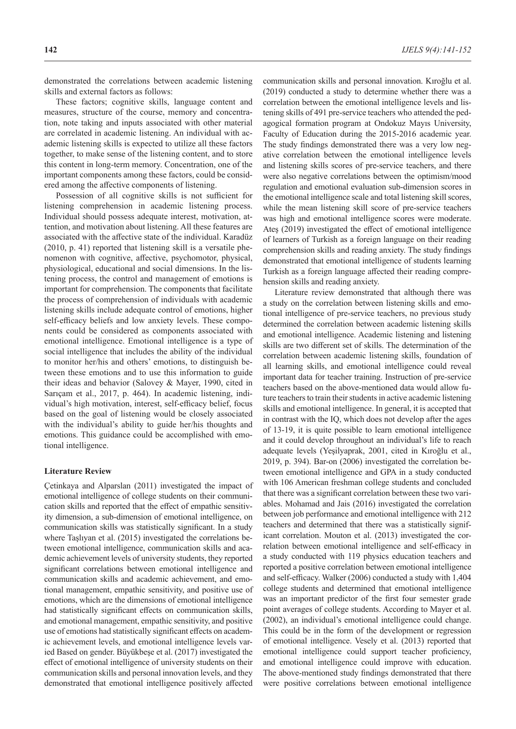demonstrated the correlations between academic listening skills and external factors as follows:

These factors; cognitive skills, language content and measures, structure of the course, memory and concentration, note taking and inputs associated with other material are correlated in academic listening. An individual with academic listening skills is expected to utilize all these factors together, to make sense of the listening content, and to store this content in long-term memory. Concentration, one of the important components among these factors, could be considered among the affective components of listening.

Possession of all cognitive skills is not sufficient for listening comprehension in academic listening process. Individual should possess adequate interest, motivation, attention, and motivation about listening. All these features are associated with the affective state of the individual. Karadüz (2010, p. 41) reported that listening skill is a versatile phenomenon with cognitive, affective, psychomotor, physical, physiological, educational and social dimensions. In the listening process, the control and management of emotions is important for comprehension. The components that facilitate the process of comprehension of individuals with academic listening skills include adequate control of emotions, higher self-efficacy beliefs and low anxiety levels. These components could be considered as components associated with emotional intelligence. Emotional intelligence is a type of social intelligence that includes the ability of the individual to monitor her/his and others' emotions, to distinguish between these emotions and to use this information to guide their ideas and behavior (Salovey & Mayer, 1990, cited in Sarıçam et al., 2017, p. 464). In academic listening, individual's high motivation, interest, self-efficacy belief, focus based on the goal of listening would be closely associated with the individual's ability to guide her/his thoughts and emotions. This guidance could be accomplished with emotional intelligence.

### **Literature Review**

Çetinkaya and Alparslan (2011) investigated the impact of emotional intelligence of college students on their communication skills and reported that the effect of empathic sensitivity dimension, a sub-dimension of emotional intelligence, on communication skills was statistically significant. In a study where Taşlıyan et al. (2015) investigated the correlations between emotional intelligence, communication skills and academic achievement levels of university students, they reported significant correlations between emotional intelligence and communication skills and academic achievement, and emotional management, empathic sensitivity, and positive use of emotions, which are the dimensions of emotional intelligence had statistically significant effects on communication skills, and emotional management, empathic sensitivity, and positive use of emotions had statistically significant effects on academic achievement levels, and emotional intelligence levels varied Based on gender. Büyükbeşe et al. (2017) investigated the effect of emotional intelligence of university students on their communication skills and personal innovation levels, and they demonstrated that emotional intelligence positively affected

communication skills and personal innovation. Kıroğlu et al. (2019) conducted a study to determine whether there was a correlation between the emotional intelligence levels and listening skills of 491 pre-service teachers who attended the pedagogical formation program at Ondokuz Mayıs University, Faculty of Education during the 2015-2016 academic year. The study findings demonstrated there was a very low negative correlation between the emotional intelligence levels and listening skills scores of pre-service teachers, and there were also negative correlations between the optimism/mood regulation and emotional evaluation sub-dimension scores in the emotional intelligence scale and total listening skill scores, while the mean listening skill score of pre-service teachers was high and emotional intelligence scores were moderate. Ateş (2019) investigated the effect of emotional intelligence of learners of Turkish as a foreign language on their reading comprehension skills and reading anxiety. The study findings demonstrated that emotional intelligence of students learning Turkish as a foreign language affected their reading comprehension skills and reading anxiety.

Literature review demonstrated that although there was a study on the correlation between listening skills and emotional intelligence of pre-service teachers, no previous study determined the correlation between academic listening skills and emotional intelligence. Academic listening and listening skills are two different set of skills. The determination of the correlation between academic listening skills, foundation of all learning skills, and emotional intelligence could reveal important data for teacher training. Instruction of pre-service teachers based on the above-mentioned data would allow future teachers to train their students in active academic listening skills and emotional intelligence. In general, it is accepted that in contrast with the IQ, which does not develop after the ages of 13-19, it is quite possible to learn emotional intelligence and it could develop throughout an individual's life to reach adequate levels (Yeşilyaprak, 2001, cited in Kıroğlu et al., 2019, p. 394). Bar-on (2006) investigated the correlation between emotional intelligence and GPA in a study conducted with 106 American freshman college students and concluded that there was a significant correlation between these two variables. Mohamad and Jais (2016) investigated the correlation between job performance and emotional intelligence with 212 teachers and determined that there was a statistically significant correlation. Mouton et al. (2013) investigated the correlation between emotional intelligence and self-efficacy in a study conducted with 119 physics education teachers and reported a positive correlation between emotional intelligence and self-efficacy. Walker (2006) conducted a study with 1,404 college students and determined that emotional intelligence was an important predictor of the first four semester grade point averages of college students. According to Mayer et al. (2002), an individual's emotional intelligence could change. This could be in the form of the development or regression of emotional intelligence. Vesely et al. (2013) reported that emotional intelligence could support teacher proficiency, and emotional intelligence could improve with education. The above-mentioned study findings demonstrated that there were positive correlations between emotional intelligence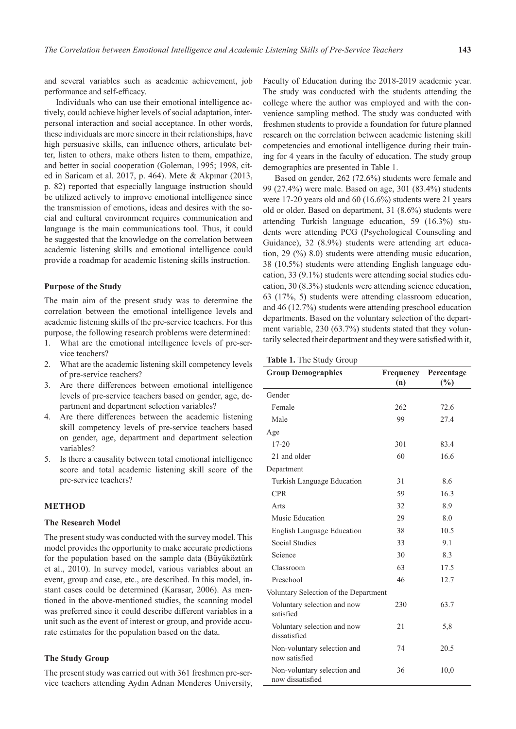and several variables such as academic achievement, job performance and self-efficacy.

Individuals who can use their emotional intelligence actively, could achieve higher levels of social adaptation, interpersonal interaction and social acceptance. In other words, these individuals are more sincere in their relationships, have high persuasive skills, can influence others, articulate better, listen to others, make others listen to them, empathize, and better in social cooperation (Goleman, 1995; 1998, cited in Saricam et al. 2017, p. 464). Mete & Akpınar (2013, p. 82) reported that especially language instruction should be utilized actively to improve emotional intelligence since the transmission of emotions, ideas and desires with the social and cultural environment requires communication and language is the main communications tool. Thus, it could be suggested that the knowledge on the correlation between academic listening skills and emotional intelligence could provide a roadmap for academic listening skills instruction.

#### **Purpose of the Study**

The main aim of the present study was to determine the correlation between the emotional intelligence levels and academic listening skills of the pre-service teachers. For this purpose, the following research problems were determined:

- 1. What are the emotional intelligence levels of pre-service teachers?
- 2. What are the academic listening skill competency levels of pre-service teachers?
- 3. Are there differences between emotional intelligence levels of pre-service teachers based on gender, age, department and department selection variables?
- 4. Are there differences between the academic listening skill competency levels of pre-service teachers based on gender, age, department and department selection variables?
- 5. Is there a causality between total emotional intelligence score and total academic listening skill score of the pre-service teachers?

# **METHOD**

### **The Research Model**

The present study was conducted with the survey model. This model provides the opportunity to make accurate predictions for the population based on the sample data (Büyüköztürk et al., 2010). In survey model, various variables about an event, group and case, etc., are described. In this model, instant cases could be determined (Karasar, 2006). As mentioned in the above-mentioned studies, the scanning model was preferred since it could describe different variables in a unit such as the event of interest or group, and provide accurate estimates for the population based on the data.

# **The Study Group**

The present study was carried out with 361 freshmen pre-service teachers attending Aydın Adnan Menderes University, Faculty of Education during the 2018-2019 academic year. The study was conducted with the students attending the college where the author was employed and with the convenience sampling method. The study was conducted with freshmen students to provide a foundation for future planned research on the correlation between academic listening skill competencies and emotional intelligence during their training for 4 years in the faculty of education. The study group demographics are presented in Table 1.

Based on gender, 262 (72.6%) students were female and 99 (27.4%) were male. Based on age, 301 (83.4%) students were 17-20 years old and 60 (16.6%) students were 21 years old or older. Based on department, 31 (8.6%) students were attending Turkish language education, 59 (16.3%) students were attending PCG (Psychological Counseling and Guidance), 32 (8.9%) students were attending art education, 29 (%) 8.0) students were attending music education, 38 (10.5%) students were attending English language education, 33 (9.1%) students were attending social studies education, 30 (8.3%) students were attending science education, 63 (17%, 5) students were attending classroom education, and 46 (12.7%) students were attending preschool education departments. Based on the voluntary selection of the department variable, 230 (63.7%) students stated that they voluntarily selected their department and they were satisfied with it,

| Table 1. The Study Group |  |  |  |  |
|--------------------------|--|--|--|--|
|--------------------------|--|--|--|--|

| <b>Group Demographics</b>                       | Frequency<br>(n) | Percentage<br>$\frac{6}{2}$ |
|-------------------------------------------------|------------------|-----------------------------|
| Gender                                          |                  |                             |
| Female                                          | 262              | 72.6                        |
| Male                                            | 99               | 27.4                        |
| Age                                             |                  |                             |
| $17 - 20$                                       | 301              | 83.4                        |
| 21 and older                                    | 60               | 16.6                        |
| Department                                      |                  |                             |
| Turkish Language Education                      | 31               | 8.6                         |
| <b>CPR</b>                                      | 59               | 16.3                        |
| Arts                                            | 32               | 8.9                         |
| Music Education                                 | 29               | 8.0                         |
| <b>English Language Education</b>               | 38               | 10.5                        |
| <b>Social Studies</b>                           | 33               | 9.1                         |
| Science                                         | 30               | 8.3                         |
| Classroom                                       | 63               | 17.5                        |
| Preschool                                       | 46               | 12.7                        |
| Voluntary Selection of the Department           |                  |                             |
| Voluntary selection and now<br>satisfied        | 230              | 63.7                        |
| Voluntary selection and now<br>dissatisfied     | 21               | 5,8                         |
| Non-voluntary selection and<br>now satisfied    | 74               | 20.5                        |
| Non-voluntary selection and<br>now dissatisfied | 36               | 10,0                        |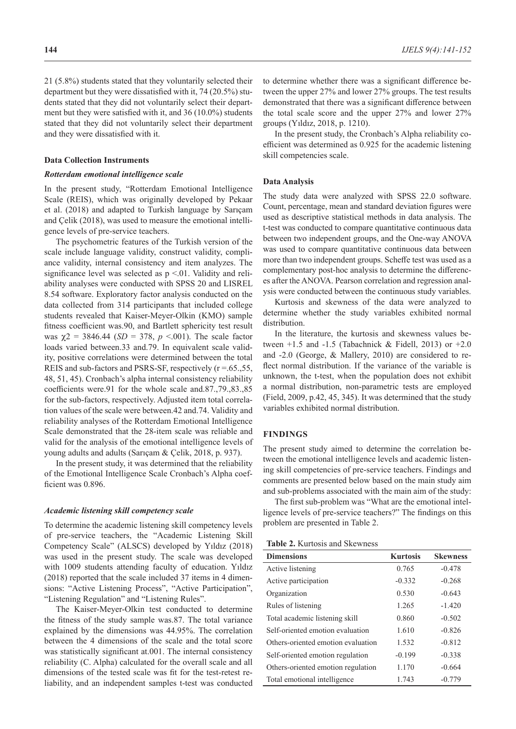21 (5.8%) students stated that they voluntarily selected their department but they were dissatisfied with it, 74 (20.5%) students stated that they did not voluntarily select their department but they were satisfied with it, and 36 (10.0%) students stated that they did not voluntarily select their department and they were dissatisfied with it.

### **Data Collection Instruments**

### *Rotterdam emotional intelligence scale*

In the present study, "Rotterdam Emotional Intelligence Scale (REIS), which was originally developed by Pekaar et al. (2018) and adapted to Turkish language by Sarıçam and Çelik (2018), was used to measure the emotional intelligence levels of pre-service teachers.

The psychometric features of the Turkish version of the scale include language validity, construct validity, compliance validity, internal consistency and item analyzes. The significance level was selected as  $p \le 01$ . Validity and reliability analyses were conducted with SPSS 20 and LISREL 8.54 software. Exploratory factor analysis conducted on the data collected from 314 participants that included college students revealed that Kaiser-Meyer-Olkin (KMO) sample fitness coefficient was.90, and Bartlett sphericity test result was  $χ2 = 3846.44$  (*SD* = 378, *p* < 001). The scale factor loads varied between.33 and.79. In equivalent scale validity, positive correlations were determined between the total REIS and sub-factors and PSRS-SF, respectively  $(r = .65, .55, )$ 48, 51, 45). Cronbach's alpha internal consistency reliability coefficients were.91 for the whole scale and.87.,79.,83.,85 for the sub-factors, respectively. Adjusted item total correlation values of the scale were between.42 and.74. Validity and reliability analyses of the Rotterdam Emotional Intelligence Scale demonstrated that the 28-item scale was reliable and valid for the analysis of the emotional intelligence levels of young adults and adults (Sarıçam & Çelik, 2018, p. 937).

In the present study, it was determined that the reliability of the Emotional Intelligence Scale Cronbach's Alpha coefficient was 0.896.

#### *Academic listening skill competency scale*

To determine the academic listening skill competency levels of pre-service teachers, the "Academic Listening Skill Competency Scale" (ALSCS) developed by Yıldız (2018) was used in the present study. The scale was developed with 1009 students attending faculty of education. Yıldız (2018) reported that the scale included 37 items in 4 dimensions: "Active Listening Process", "Active Participation", "Listening Regulation" and "Listening Rules".

The Kaiser-Meyer-Olkin test conducted to determine the fitness of the study sample was.87. The total variance explained by the dimensions was 44.95%. The correlation between the 4 dimensions of the scale and the total score was statistically significant at.001. The internal consistency reliability (C. Alpha) calculated for the overall scale and all dimensions of the tested scale was fit for the test-retest reliability, and an independent samples t-test was conducted to determine whether there was a significant difference between the upper 27% and lower 27% groups. The test results demonstrated that there was a significant difference between the total scale score and the upper 27% and lower 27% groups (Yıldız, 2018, p. 1210).

In the present study, the Cronbach's Alpha reliability coefficient was determined as 0.925 for the academic listening skill competencies scale.

#### **Data Analysis**

The study data were analyzed with SPSS 22.0 software. Count, percentage, mean and standard deviation figures were used as descriptive statistical methods in data analysis. The t-test was conducted to compare quantitative continuous data between two independent groups, and the One-way ANOVA was used to compare quantitative continuous data between more than two independent groups. Scheffe test was used as a complementary post-hoc analysis to determine the differences after the ANOVA. Pearson correlation and regression analysis were conducted between the continuous study variables.

Kurtosis and skewness of the data were analyzed to determine whether the study variables exhibited normal distribution.

In the literature, the kurtosis and skewness values between  $+1.5$  and  $-1.5$  (Tabachnick & Fidell, 2013) or  $+2.0$ and -2.0 (George, & Mallery, 2010) are considered to reflect normal distribution. If the variance of the variable is unknown, the t-test, when the population does not exhibit a normal distribution, non-parametric tests are employed (Field, 2009, p.42, 45, 345). It was determined that the study variables exhibited normal distribution.

#### **FINDINGS**

The present study aimed to determine the correlation between the emotional intelligence levels and academic listening skill competencies of pre-service teachers. Findings and comments are presented below based on the main study aim and sub-problems associated with the main aim of the study:

The first sub-problem was "What are the emotional intelligence levels of pre-service teachers?" The findings on this problem are presented in Table 2.

**Table 2.** Kurtosis and Skewness

| <b>Dimensions</b>                  | <b>Kurtosis</b> | <b>Skewness</b> |
|------------------------------------|-----------------|-----------------|
| Active listening                   | 0.765           | $-0.478$        |
| Active participation               | $-0.332$        | $-0.268$        |
| Organization                       | 0.530           | $-0.643$        |
| Rules of listening                 | 1.265           | $-1.420$        |
| Total academic listening skill     | 0.860           | $-0.502$        |
| Self-oriented emotion evaluation   | 1.610           | $-0.826$        |
| Others-oriented emotion evaluation | 1.532           | $-0.812$        |
| Self-oriented emotion regulation   | $-0.199$        | $-0.338$        |
| Others-oriented emotion regulation | 1.170           | $-0.664$        |
| Total emotional intelligence       | 1.743           | $-0.779$        |
|                                    |                 |                 |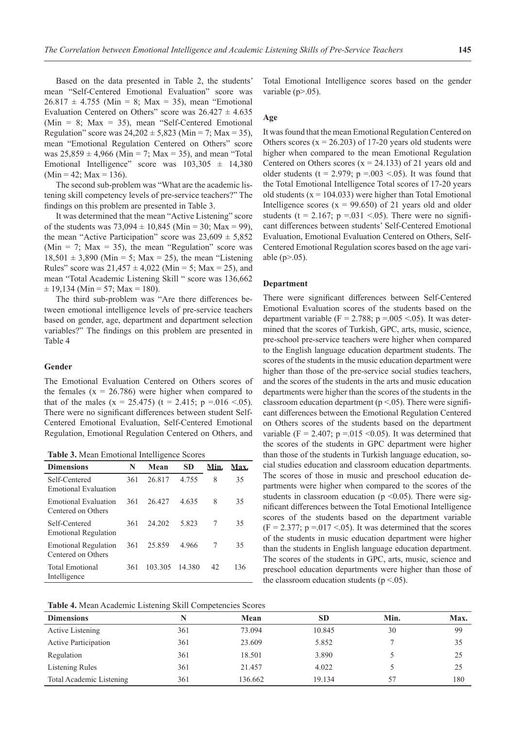Based on the data presented in Table 2, the students' mean "Self-Centered Emotional Evaluation" score was  $26.817 \pm 4.755$  (Min = 8; Max = 35), mean "Emotional Evaluation Centered on Others" score was  $26.427 \pm 4.635$ (Min = 8; Max = 35), mean "Self-Centered Emotional Regulation" score was  $24,202 \pm 5,823$  (Min = 7; Max = 35), mean "Emotional Regulation Centered on Others" score was  $25,859 \pm 4,966$  (Min = 7; Max = 35), and mean "Total Emotional Intelligence" score was  $103,305 \pm 14,380$  $(Min = 42; Max = 136).$ 

The second sub-problem was "What are the academic listening skill competency levels of pre-service teachers?" The findings on this problem are presented in Table 3.

It was determined that the mean "Active Listening" score of the students was  $73,094 \pm 10,845$  (Min = 30; Max = 99), the mean "Active Participation" score was  $23,609 \pm 5,852$ (Min = 7; Max = 35), the mean "Regulation" score was  $18,501 \pm 3,890$  (Min = 5; Max = 25), the mean "Listening Rules" score was  $21,457 \pm 4,022$  (Min = 5; Max = 25), and mean "Total Academic Listening Skill " score was 136,662  $\pm$  19,134 (Min = 57; Max = 180).

The third sub-problem was "Are there differences between emotional intelligence levels of pre-service teachers based on gender, age, department and department selection variables?" The findings on this problem are presented in Table 4

# **Gender**

The Emotional Evaluation Centered on Others scores of the females  $(x = 26.786)$  were higher when compared to that of the males (x = 25.475) (t = 2.415; p = 0.016 < 0.05). There were no significant differences between student Self-Centered Emotional Evaluation, Self-Centered Emotional Regulation, Emotional Regulation Centered on Others, and

**Table 3.** Mean Emotional Intelligence Scores

| <b>Dimensions</b>                                 | N   | Mean    | SD     | Min. | Max. |
|---------------------------------------------------|-----|---------|--------|------|------|
| Self-Centered<br>Emotional Evaluation             | 361 | 26.817  | 4.755  | 8    | 35   |
| Emotional Evaluation<br>Centered on Others        | 361 | 26.427  | 4.635  | 8    | 35   |
| Self-Centered<br><b>Emotional Regulation</b>      | 361 | 24.202  | 5.823  |      | 35   |
| <b>Emotional Regulation</b><br>Centered on Others | 361 | 25.859  | 4.966  | 7    | 35   |
| <b>Total Emotional</b><br>Intelligence            | 361 | 103.305 | 14.380 | 42   | 136  |

| Table 4. Mean Academic Listening Skill Competencies Scores |  |  |
|------------------------------------------------------------|--|--|
|------------------------------------------------------------|--|--|

| <b>Dimensions</b>        | N   | Mean    | <b>SD</b> | Min. | Max. |
|--------------------------|-----|---------|-----------|------|------|
| Active Listening         | 361 | 73.094  | 10.845    | 30   | 99   |
| Active Participation     | 361 | 23.609  | 5.852     |      | 35   |
| Regulation               | 361 | 18.501  | 3.890     |      | 25   |
| Listening Rules          | 361 | 21.457  | 4.022     |      | 25   |
| Total Academic Listening | 361 | 136.662 | 19.134    | 57   | 180  |

Total Emotional Intelligence scores based on the gender variable  $(p>0.05)$ .

#### **Age**

It was found that the mean Emotional Regulation Centered on Others scores  $(x = 26.203)$  of 17-20 years old students were higher when compared to the mean Emotional Regulation Centered on Others scores  $(x = 24.133)$  of 21 years old and older students ( $t = 2.979$ ;  $p = .003$  <.05). It was found that the Total Emotional Intelligence Total scores of 17-20 years old students ( $x = 104.033$ ) were higher than Total Emotional Intelligence scores  $(x = 99.650)$  of 21 years old and older students (t = 2.167; p = 0.031 < 0.05). There were no significant differences between students' Self-Centered Emotional Evaluation, Emotional Evaluation Centered on Others, Self-Centered Emotional Regulation scores based on the age variable (p>.05).

### **Department**

There were significant differences between Self-Centered Emotional Evaluation scores of the students based on the department variable ( $F = 2.788$ ;  $p = .005 \lt .05$ ). It was determined that the scores of Turkish, GPC, arts, music, science, pre-school pre-service teachers were higher when compared to the English language education department students. The scores of the students in the music education department were higher than those of the pre-service social studies teachers, and the scores of the students in the arts and music education departments were higher than the scores of the students in the classroom education department ( $p < 0.05$ ). There were significant differences between the Emotional Regulation Centered on Others scores of the students based on the department variable (F = 2.407; p = 0.015 < 0.05). It was determined that the scores of the students in GPC department were higher than those of the students in Turkish language education, social studies education and classroom education departments. The scores of those in music and preschool education departments were higher when compared to the scores of the students in classroom education ( $p \le 0.05$ ). There were significant differences between the Total Emotional Intelligence scores of the students based on the department variable  $(F = 2.377; p = 0.017 < 0.05)$ . It was determined that the scores of the students in music education department were higher than the students in English language education department. The scores of the students in GPC, arts, music, science and preschool education departments were higher than those of the classroom education students ( $p < .05$ ).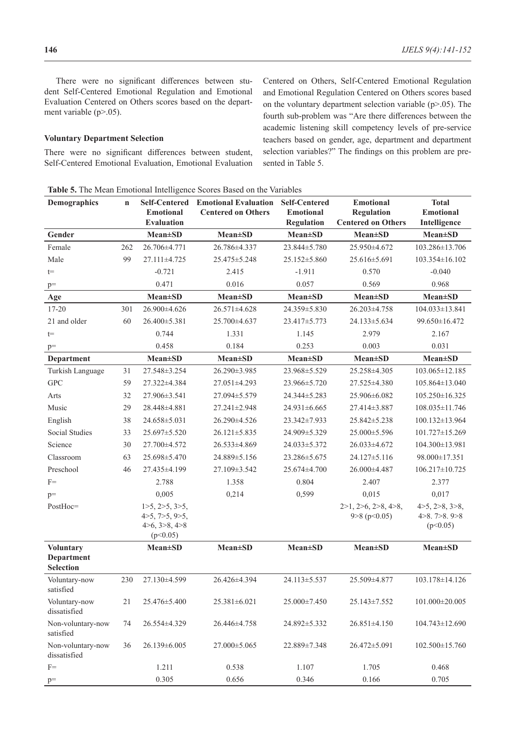There were no significant differences between student Self-Centered Emotional Regulation and Emotional Evaluation Centered on Others scores based on the department variable (p>.05).

# **Voluntary Department Selection**

There were no significant differences between student, Self-Centered Emotional Evaluation, Emotional Evaluation Centered on Others, Self-Centered Emotional Regulation and Emotional Regulation Centered on Others scores based on the voluntary department selection variable  $(p>0.05)$ . The fourth sub-problem was "Are there differences between the academic listening skill competency levels of pre-service teachers based on gender, age, department and department selection variables?" The findings on this problem are presented in Table 5.

**Table 5.** The Mean Emotional Intelligence Scores Based on the Variables

| <b>Demographics</b>                   | $\mathbf n$ | <b>Self-Centered</b><br><b>Emotional</b>                               | <b>Emotional Evaluation</b><br><b>Centered on Others</b> | <b>Self-Centered</b><br><b>Emotional</b> | <b>Emotional</b><br><b>Regulation</b>                  | <b>Total</b><br><b>Emotional</b>                |
|---------------------------------------|-------------|------------------------------------------------------------------------|----------------------------------------------------------|------------------------------------------|--------------------------------------------------------|-------------------------------------------------|
|                                       |             | <b>Evaluation</b>                                                      |                                                          | <b>Regulation</b>                        | <b>Centered on Others</b>                              | Intelligence                                    |
| Gender                                |             | <b>Mean±SD</b>                                                         | <b>Mean±SD</b>                                           | <b>Mean±SD</b>                           | $Mean \pm SD$                                          | <b>Mean±SD</b>                                  |
| Female                                | 262         | 26.706±4.771                                                           | 26.786±4.337                                             | 23.844±5.780                             | 25.950±4.672                                           | 103.286±13.706                                  |
| Male                                  | 99          | 27.111±4.725                                                           | 25.475 ± 5.248                                           | $25.152 \pm 5.860$                       | 25.616±5.691                                           | 103.354±16.102                                  |
| $t =$                                 |             | $-0.721$                                                               | 2.415                                                    | $-1.911$                                 | 0.570                                                  | $-0.040$                                        |
| $\rm p=$                              |             | 0.471                                                                  | 0.016                                                    | 0.057                                    | 0.569                                                  | 0.968                                           |
| Age                                   |             | <b>Mean±SD</b>                                                         | $Mean \pm SD$                                            | $Mean \pm SD$                            | $Mean \pm SD$                                          | <b>Mean±SD</b>                                  |
| 17-20                                 | 301         | 26.900±4.626                                                           | 26.571±4.628                                             | 24.359±5.830                             | 26.203±4.758                                           | 104.033±13.841                                  |
| 21 and older                          | 60          | 26.400±5.381                                                           | 25.700±4.637                                             | 23.417±5.773                             | 24.133±5.634                                           | 99.650±16.472                                   |
| $t =$                                 |             | 0.744                                                                  | 1.331                                                    | 1.145                                    | 2.979                                                  | 2.167                                           |
| $p=$                                  |             | 0.458                                                                  | 0.184                                                    | 0.253                                    | 0.003                                                  | 0.031                                           |
| Department                            |             | <b>Mean±SD</b>                                                         | <b>Mean±SD</b>                                           | <b>Mean</b> ±SD                          | <b>Mean±SD</b>                                         | <b>Mean±SD</b>                                  |
| Turkish Language                      | 31          | 27.548±3.254                                                           | 26.290±3.985                                             | 23.968±5.529                             | 25.258±4.305                                           | 103.065±12.185                                  |
| <b>GPC</b>                            | 59          | 27.322±4.384                                                           | 27.051±4.293                                             | 23.966±5.720                             | 27.525±4.380                                           | 105.864±13.040                                  |
| Arts                                  | 32          | 27.906±3.541                                                           | 27.094±5.579                                             | 24.344±5.283                             | 25.906±6.082                                           | 105.250±16.325                                  |
| Music                                 | 29          | 28.448±4.881                                                           | 27.241±2.948                                             | 24.931±6.665                             | 27.414±3.887                                           | 108.035±11.746                                  |
| English                               | 38          | 24.658±5.031                                                           | 26.290±4.526                                             | 23.342±7.933                             | 25.842±5.238                                           | 100.132±13.964                                  |
| Social Studies                        | 33          | 25.697±5.520                                                           | $26.121 \pm 5.835$                                       | 24.909±5.329                             | 25.000±5.596                                           | 101.727±15.269                                  |
| Science                               | 30          | 27.700±4.572                                                           | 26.533±4.869                                             | 24.033±5.372                             | 26.033±4.672                                           | 104.300±13.981                                  |
| Classroom                             | 63          | 25.698±5.470                                                           | 24.889±5.156                                             | 23.286±5.675                             | 24.127±5.116                                           | 98.000±17.351                                   |
| Preschool                             | 46          | 27.435±4.199                                                           | 27.109±3.542                                             | 25.674±4.700                             | 26.000±4.487                                           | 106.217±10.725                                  |
| $F =$                                 |             | 2.788                                                                  | 1.358                                                    | 0.804                                    | 2.407                                                  | 2.377                                           |
| $p=$                                  |             | 0,005                                                                  | 0,214                                                    | 0,599                                    | 0,015                                                  | 0,017                                           |
| PostHoc=                              |             | $1>5$ , $2>5$ , $3>5$ ,<br>4>5, 7>5, 9>5,<br>4>6, 3>8, 4>8<br>(p<0.05) |                                                          |                                          | $2>1$ , $2>6$ , $2>8$ , $4>8$ ,<br>$9 > 8$ (p $0.05$ ) | 4>5, 2>8, 3>8,<br>4 > 8.7 > 8.9 > 8<br>(p<0.05) |
| <b>Voluntary</b>                      |             | <b>Mean</b> ±SD                                                        | <b>Mean</b> ±SD                                          | <b>Mean</b> ±SD                          | <b>Mean±SD</b>                                         | <b>Mean</b> ±SD                                 |
| <b>Department</b><br><b>Selection</b> |             |                                                                        |                                                          |                                          |                                                        |                                                 |
| Voluntary-now<br>satisfied            | 230         | 27.130±4.599                                                           | 26.426±4.394                                             | 24.113±5.537                             | 25.509±4.877                                           | 103.178±14.126                                  |
| Voluntary-now<br>dissatisfied         | 21          | 25.476±5.400                                                           | 25.381±6.021                                             | $25.000 \pm 7.450$                       | $25.143 \pm 7.552$                                     | 101.000±20.005                                  |
| Non-voluntary-now<br>satisfied        | 74          | 26.554±4.329                                                           | 26.446±4.758                                             | 24.892±5.332                             | $26.851 \pm 4.150$                                     | 104.743±12.690                                  |
| Non-voluntary-now<br>dissatisfied     | 36          | 26.139±6.005                                                           | 27.000±5.065                                             | 22.889±7.348                             | 26.472±5.091                                           | 102.500 ± 15.760                                |
| $F =$                                 |             | 1.211                                                                  | 0.538                                                    | 1.107                                    | 1.705                                                  | 0.468                                           |
| $p=$                                  |             | 0.305                                                                  | 0.656                                                    | 0.346                                    | 0.166                                                  | 0.705                                           |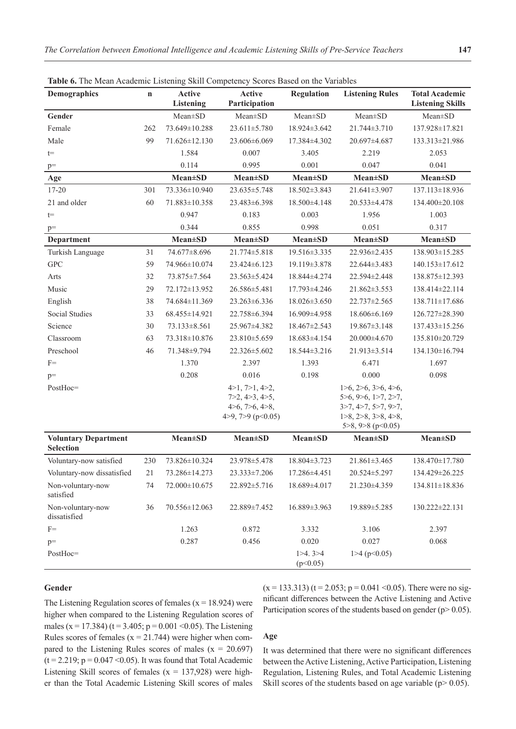| <b>Table 0.</b> The Mean Academic Eistening SKIII Competency Scotes Based on the Variables<br>Demographics | $\mathbf n$ | Active             | Active                                                                      | <b>Regulation</b>   | <b>Listening Rules</b>                                                                                                                               | <b>Total Academic</b>   |
|------------------------------------------------------------------------------------------------------------|-------------|--------------------|-----------------------------------------------------------------------------|---------------------|------------------------------------------------------------------------------------------------------------------------------------------------------|-------------------------|
|                                                                                                            |             | Listening          | Participation                                                               |                     |                                                                                                                                                      | <b>Listening Skills</b> |
| Gender                                                                                                     |             | $Mean \pm SD$      | $Mean \pm SD$                                                               | $Mean \pm SD$       | $Mean \pm SD$                                                                                                                                        | $Mean \pm SD$           |
| Female                                                                                                     | 262         | 73.649±10.288      | $23.611 \pm 5.780$                                                          | 18.924±3.642        | $21.744 \pm 3.710$                                                                                                                                   | 137.928±17.821          |
| Male                                                                                                       | 99          | 71.626±12.130      | 23.606±6.069                                                                | 17.384±4.302        | 20.697±4.687                                                                                                                                         | 133.313±21.986          |
| $t =$                                                                                                      |             | 1.584              | 0.007                                                                       | 3.405               | 2.219                                                                                                                                                | 2.053                   |
| $p=$                                                                                                       |             | 0.114              | 0.995                                                                       | 0.001               | 0.047                                                                                                                                                | 0.041                   |
| Age                                                                                                        |             | <b>Mean±SD</b>     | <b>Mean</b> ±SD                                                             | <b>Mean</b> ±SD     | <b>Mean</b> ±SD                                                                                                                                      | <b>Mean</b> ±SD         |
| 17-20                                                                                                      | 301         | 73.336±10.940      | 23.635±5.748                                                                | 18.502±3.843        | 21.641±3.907                                                                                                                                         | 137.113±18.936          |
| 21 and older                                                                                               | 60          | 71.883±10.358      | 23.483±6.398                                                                | 18.500±4.148        | 20.533±4.478                                                                                                                                         | 134.400±20.108          |
| $t =$                                                                                                      |             | 0.947              | 0.183                                                                       | 0.003               | 1.956                                                                                                                                                | 1.003                   |
| $p=$                                                                                                       |             | 0.344              | 0.855                                                                       | 0.998               | 0.051                                                                                                                                                | 0.317                   |
| Department                                                                                                 |             | <b>Mean</b> ±SD    | <b>Mean</b> ±SD                                                             | <b>Mean</b> ±SD     | <b>Mean</b> ±SD                                                                                                                                      | <b>Mean</b> ±SD         |
| Turkish Language                                                                                           | 31          | 74.677±8.696       | 21.774±5.818                                                                | 19.516±3.335        | 22.936±2.435                                                                                                                                         | 138.903±15.285          |
| <b>GPC</b>                                                                                                 | 59          | 74.966±10.074      | 23.424±6.123                                                                | 19.119±3.878        | 22.644±3.483                                                                                                                                         | 140.153±17.612          |
| Arts                                                                                                       | 32          | 73.875±7.564       | $23.563 \pm 5.424$                                                          | 18.844±4.274        | 22.594±2.448                                                                                                                                         | 138.875±12.393          |
| Music                                                                                                      | 29          | 72.172±13.952      | 26.586±5.481                                                                | 17.793±4.246        | $21.862 \pm 3.553$                                                                                                                                   | 138.414±22.114          |
| English                                                                                                    | 38          | 74.684±11.369      | $23.263\pm 6.336$                                                           | $18.026 \pm 3.650$  | 22.737±2.565                                                                                                                                         | 138.711±17.686          |
| Social Studies                                                                                             | 33          | 68.455±14.921      | 22.758±6.394                                                                | 16.909±4.958        | 18.606±6.169                                                                                                                                         | 126.727±28.390          |
| Science                                                                                                    | 30          | $73.133 \pm 8.561$ | 25.967±4.382                                                                | $18.467 \pm 2.543$  | $19.867 \pm 3.148$                                                                                                                                   | 137.433±15.256          |
| Classroom                                                                                                  | 63          | 73.318±10.876      | 23.810±5.659                                                                | 18.683±4.154        | 20.000±4.670                                                                                                                                         | 135.810±20.729          |
| Preschool                                                                                                  | 46          | 71.348±9.794       | 22.326±5.602                                                                | 18.544±3.216        | 21.913±3.514                                                                                                                                         | 134.130±16.794          |
| $F=$                                                                                                       |             | 1.370              | 2.397                                                                       | 1.393               | 6.471                                                                                                                                                | 1.697                   |
| $p=$                                                                                                       |             | 0.208              | 0.016                                                                       | 0.198               | 0.000                                                                                                                                                | 0.098                   |
| PostHoc=                                                                                                   |             |                    | 4>1, 7>1, 4>2,<br>7>2, 4>3, 4>5,<br>4>6, 7>6, 4>8,<br>4>9, 7>9 ( $p<0.05$ ) |                     | $1>6$ , $2>6$ , $3>6$ , $4>6$ ,<br>5>6, 9>6, 1>7, 2>7,<br>3>7, 4>7, 5>7, 9>7,<br>$1>8$ , $2>8$ , $3>8$ , $4>8$ ,<br>$5 > 8$ , $9 > 8$ ( $p < 0.05$ ) |                         |
| <b>Voluntary Department</b>                                                                                |             | <b>Mean</b> ±SD    | <b>Mean±SD</b>                                                              | <b>Mean</b> ±SD     | <b>Mean±SD</b>                                                                                                                                       | <b>Mean</b> ±SD         |
| <b>Selection</b>                                                                                           |             |                    |                                                                             |                     |                                                                                                                                                      |                         |
| Voluntary-now satisfied                                                                                    | 230         | 73.826±10.324      | 23.978±5.478                                                                | 18.804±3.723        | $21.861 \pm 3.465$                                                                                                                                   | 138.470±17.780          |
| Voluntary-now dissatisfied                                                                                 | 21          | 73.286±14.273      | 23.333±7.206                                                                | 17.286±4.451        | 20.524±5.297                                                                                                                                         | 134.429±26.225          |
| Non-voluntary-now<br>satisfied                                                                             | 74          | 72.000±10.675      | 22.892±5.716                                                                | 18.689±4.017        | 21.230±4.359                                                                                                                                         | 134.811±18.836          |
| Non-voluntary-now<br>dissatisfied                                                                          | 36          | 70.556±12.063      | 22.889±7.452                                                                | 16.889±3.963        | 19.889±5.285                                                                                                                                         | 130.222±22.131          |
| $F=$                                                                                                       |             | 1.263              | 0.872                                                                       | 3.332               | 3.106                                                                                                                                                | 2.397                   |
| $p=$                                                                                                       |             | 0.287              | 0.456                                                                       | 0.020               | 0.027                                                                                                                                                | 0.068                   |
| PostHoc=                                                                                                   |             |                    |                                                                             | 1>4.3>4<br>(p<0.05) | $1>4$ (p $0.05$ )                                                                                                                                    |                         |

**Table 6.** The Mean Academic Listening Skill Competency Scores Based on the Variables

# **Gender**

The Listening Regulation scores of females  $(x = 18.924)$  were higher when compared to the Listening Regulation scores of males (x = 17.384) (t = 3.405; p = 0.001 < 0.05). The Listening Rules scores of females  $(x = 21.744)$  were higher when compared to the Listening Rules scores of males  $(x = 20.697)$  $(t = 2.219; p = 0.047 \le 0.05)$ . It was found that Total Academic Listening Skill scores of females ( $x = 137,928$ ) were higher than the Total Academic Listening Skill scores of males

 $(x = 133.313)$  (t = 2.053; p = 0.041 < 0.05). There were no significant differences between the Active Listening and Active Participation scores of the students based on gender ( $p$  > 0.05).

# **Age**

It was determined that there were no significant differences between the Active Listening, Active Participation, Listening Regulation, Listening Rules, and Total Academic Listening Skill scores of the students based on age variable ( $p$  > 0.05).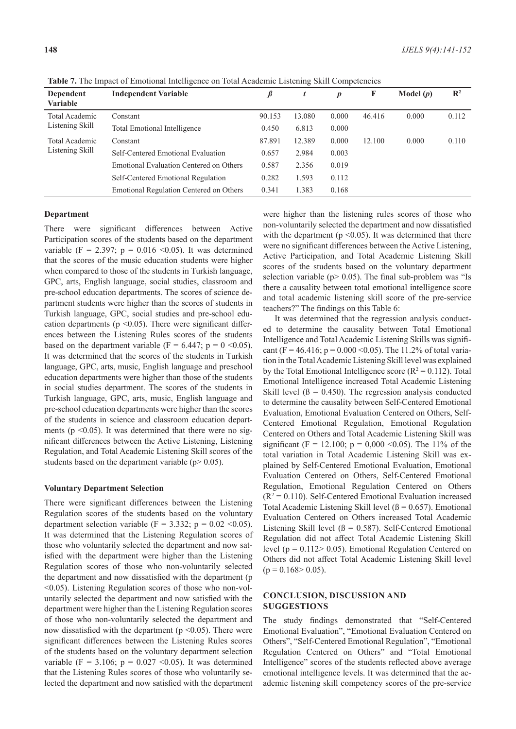| Dependent<br><b>Variable</b>      | <b>Independent Variable</b>             | $\pmb{\beta}$ | t      | $\boldsymbol{p}$ | F      | Model $(p)$ | $\mathbb{R}^2$ |
|-----------------------------------|-----------------------------------------|---------------|--------|------------------|--------|-------------|----------------|
| Total Academic                    | Constant                                | 90.153        | 13.080 | 0.000            | 46.416 | 0.000       | 0.112          |
| Listening Skill                   | Total Emotional Intelligence            | 0.450         | 6.813  | 0.000            |        |             |                |
| Total Academic<br>Listening Skill | Constant                                | 87.891        | 12.389 | 0.000            | 12.100 | 0.000       | 0.110          |
|                                   | Self-Centered Emotional Evaluation      | 0.657         | 2.984  | 0.003            |        |             |                |
|                                   | Emotional Evaluation Centered on Others | 0.587         | 2.356  | 0.019            |        |             |                |
|                                   | Self-Centered Emotional Regulation      | 0.282         | 1.593  | 0.112            |        |             |                |
|                                   | Emotional Regulation Centered on Others | 0.341         | 1.383  | 0.168            |        |             |                |

**Table 7.** The Impact of Emotional Intelligence on Total Academic Listening Skill Competencies

#### **Department**

There were significant differences between Active Participation scores of the students based on the department variable (F = 2.397; p = 0.016 < 0.05). It was determined that the scores of the music education students were higher when compared to those of the students in Turkish language, GPC, arts, English language, social studies, classroom and pre-school education departments. The scores of science department students were higher than the scores of students in Turkish language, GPC, social studies and pre-school education departments ( $p \le 0.05$ ). There were significant differences between the Listening Rules scores of the students based on the department variable (F = 6.447; p =  $0$  < 0.05). It was determined that the scores of the students in Turkish language, GPC, arts, music, English language and preschool education departments were higher than those of the students in social studies department. The scores of the students in Turkish language, GPC, arts, music, English language and pre-school education departments were higher than the scores of the students in science and classroom education departments ( $p \le 0.05$ ). It was determined that there were no significant differences between the Active Listening, Listening Regulation, and Total Academic Listening Skill scores of the students based on the department variable ( $p$  > 0.05).

### **Voluntary Department Selection**

There were significant differences between the Listening Regulation scores of the students based on the voluntary department selection variable (F = 3.332; p =  $0.02$  < 0.05). It was determined that the Listening Regulation scores of those who voluntarily selected the department and now satisfied with the department were higher than the Listening Regulation scores of those who non-voluntarily selected the department and now dissatisfied with the department (p <0.05). Listening Regulation scores of those who non-voluntarily selected the department and now satisfied with the department were higher than the Listening Regulation scores of those who non-voluntarily selected the department and now dissatisfied with the department ( $p \le 0.05$ ). There were significant differences between the Listening Rules scores of the students based on the voluntary department selection variable (F = 3.106;  $p = 0.027$  < 0.05). It was determined that the Listening Rules scores of those who voluntarily selected the department and now satisfied with the department

were higher than the listening rules scores of those who non-voluntarily selected the department and now dissatisfied with the department ( $p \le 0.05$ ). It was determined that there were no significant differences between the Active Listening, Active Participation, and Total Academic Listening Skill scores of the students based on the voluntary department selection variable ( $p$  > 0.05). The final sub-problem was "Is there a causality between total emotional intelligence score and total academic listening skill score of the pre-service teachers?" The findings on this Table 6:

It was determined that the regression analysis conducted to determine the causality between Total Emotional Intelligence and Total Academic Listening Skills was significant (F = 46.416; p = 0.000 < 0.05). The 11.2% of total variation in the Total Academic Listening Skill level was explained by the Total Emotional Intelligence score ( $R^2 = 0.112$ ). Total Emotional Intelligence increased Total Academic Listening Skill level ( $\beta = 0.450$ ). The regression analysis conducted to determine the causality between Self-Centered Emotional Evaluation, Emotional Evaluation Centered on Others, Self-Centered Emotional Regulation, Emotional Regulation Centered on Others and Total Academic Listening Skill was significant (F = 12.100;  $p = 0.000 \le 0.05$ ). The 11% of the total variation in Total Academic Listening Skill was explained by Self-Centered Emotional Evaluation, Emotional Evaluation Centered on Others, Self-Centered Emotional Regulation, Emotional Regulation Centered on Others  $(R<sup>2</sup> = 0.110)$ . Self-Centered Emotional Evaluation increased Total Academic Listening Skill level  $(β = 0.657)$ . Emotional Evaluation Centered on Others increased Total Academic Listening Skill level ( $\beta = 0.587$ ). Self-Centered Emotional Regulation did not affect Total Academic Listening Skill level ( $p = 0.112 > 0.05$ ). Emotional Regulation Centered on Others did not affect Total Academic Listening Skill level  $(p = 0.168 > 0.05)$ .

# **CONCLUSION, DISCUSSION AND SUGGESTIONS**

The study findings demonstrated that "Self-Centered Emotional Evaluation", "Emotional Evaluation Centered on Others", "Self-Centered Emotional Regulation", "Emotional Regulation Centered on Others" and "Total Emotional Intelligence" scores of the students reflected above average emotional intelligence levels. It was determined that the academic listening skill competency scores of the pre-service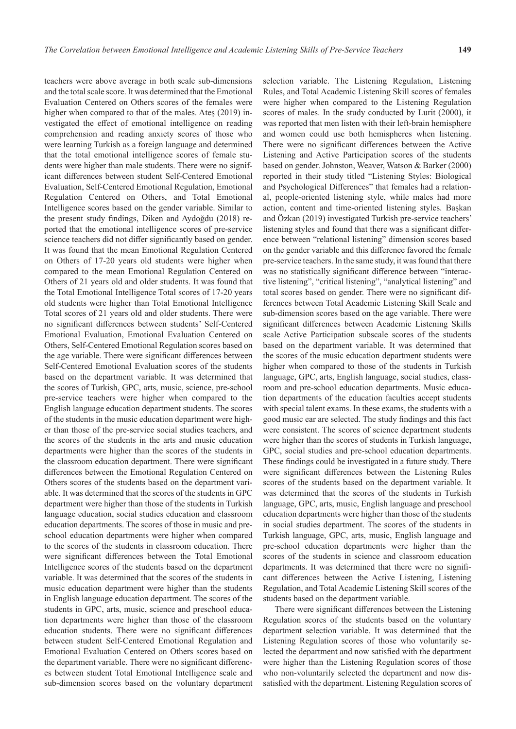teachers were above average in both scale sub-dimensions and the total scale score. It was determined that the Emotional Evaluation Centered on Others scores of the females were higher when compared to that of the males. Ateş (2019) investigated the effect of emotional intelligence on reading comprehension and reading anxiety scores of those who were learning Turkish as a foreign language and determined that the total emotional intelligence scores of female students were higher than male students. There were no significant differences between student Self-Centered Emotional Evaluation, Self-Centered Emotional Regulation, Emotional Regulation Centered on Others, and Total Emotional Intelligence scores based on the gender variable. Similar to the present study findings, Diken and Aydoğdu (2018) reported that the emotional intelligence scores of pre-service science teachers did not differ significantly based on gender. It was found that the mean Emotional Regulation Centered on Others of 17-20 years old students were higher when compared to the mean Emotional Regulation Centered on Others of 21 years old and older students. It was found that the Total Emotional Intelligence Total scores of 17-20 years old students were higher than Total Emotional Intelligence Total scores of 21 years old and older students. There were no significant differences between students' Self-Centered Emotional Evaluation, Emotional Evaluation Centered on Others, Self-Centered Emotional Regulation scores based on the age variable. There were significant differences between Self-Centered Emotional Evaluation scores of the students based on the department variable. It was determined that the scores of Turkish, GPC, arts, music, science, pre-school pre-service teachers were higher when compared to the English language education department students. The scores of the students in the music education department were higher than those of the pre-service social studies teachers, and the scores of the students in the arts and music education departments were higher than the scores of the students in the classroom education department. There were significant differences between the Emotional Regulation Centered on Others scores of the students based on the department variable. It was determined that the scores of the students in GPC department were higher than those of the students in Turkish language education, social studies education and classroom education departments. The scores of those in music and preschool education departments were higher when compared to the scores of the students in classroom education. There were significant differences between the Total Emotional Intelligence scores of the students based on the department variable. It was determined that the scores of the students in music education department were higher than the students in English language education department. The scores of the students in GPC, arts, music, science and preschool education departments were higher than those of the classroom education students. There were no significant differences between student Self-Centered Emotional Regulation and Emotional Evaluation Centered on Others scores based on the department variable. There were no significant differences between student Total Emotional Intelligence scale and

sub-dimension scores based on the voluntary department

selection variable. The Listening Regulation, Listening Rules, and Total Academic Listening Skill scores of females were higher when compared to the Listening Regulation scores of males. In the study conducted by Lurit (2000), it was reported that men listen with their left-brain hemisphere and women could use both hemispheres when listening. There were no significant differences between the Active Listening and Active Participation scores of the students based on gender. Johnston, Weaver, Watson & Barker (2000) reported in their study titled "Listening Styles: Biological and Psychological Differences" that females had a relational, people-oriented listening style, while males had more action, content and time-oriented listening styles. Başkan and Özkan (2019) investigated Turkish pre-service teachers' listening styles and found that there was a significant difference between "relational listening" dimension scores based on the gender variable and this difference favored the female pre-service teachers. In the same study, it was found that there was no statistically significant difference between "interactive listening", "critical listening", "analytical listening" and total scores based on gender. There were no significant differences between Total Academic Listening Skill Scale and sub-dimension scores based on the age variable. There were significant differences between Academic Listening Skills scale Active Participation subscale scores of the students based on the department variable. It was determined that the scores of the music education department students were higher when compared to those of the students in Turkish language, GPC, arts, English language, social studies, classroom and pre-school education departments. Music education departments of the education faculties accept students with special talent exams. In these exams, the students with a good music ear are selected. The study findings and this fact were consistent. The scores of science department students were higher than the scores of students in Turkish language, GPC, social studies and pre-school education departments. These findings could be investigated in a future study. There were significant differences between the Listening Rules scores of the students based on the department variable. It was determined that the scores of the students in Turkish language, GPC, arts, music, English language and preschool education departments were higher than those of the students in social studies department. The scores of the students in Turkish language, GPC, arts, music, English language and pre-school education departments were higher than the scores of the students in science and classroom education departments. It was determined that there were no significant differences between the Active Listening, Listening Regulation, and Total Academic Listening Skill scores of the students based on the department variable.

There were significant differences between the Listening Regulation scores of the students based on the voluntary department selection variable. It was determined that the Listening Regulation scores of those who voluntarily selected the department and now satisfied with the department were higher than the Listening Regulation scores of those who non-voluntarily selected the department and now dissatisfied with the department. Listening Regulation scores of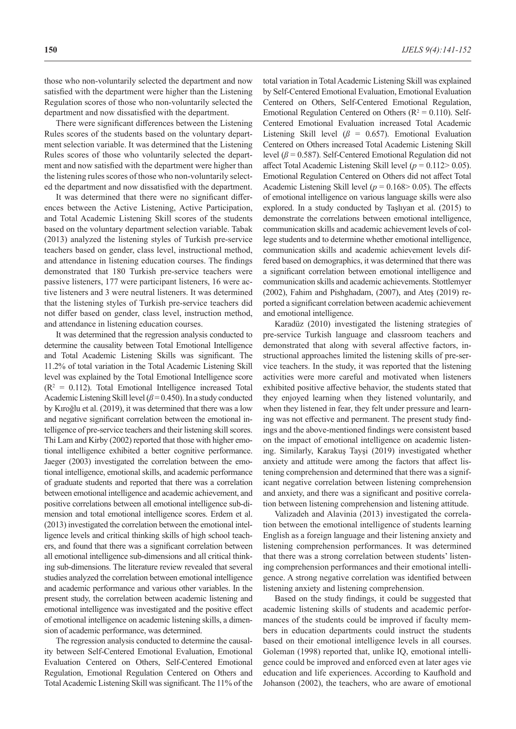those who non-voluntarily selected the department and now satisfied with the department were higher than the Listening Regulation scores of those who non-voluntarily selected the department and now dissatisfied with the department.

There were significant differences between the Listening Rules scores of the students based on the voluntary department selection variable. It was determined that the Listening Rules scores of those who voluntarily selected the department and now satisfied with the department were higher than the listening rules scores of those who non-voluntarily selected the department and now dissatisfied with the department.

It was determined that there were no significant differences between the Active Listening, Active Participation, and Total Academic Listening Skill scores of the students based on the voluntary department selection variable. Tabak (2013) analyzed the listening styles of Turkish pre-service teachers based on gender, class level, instructional method, and attendance in listening education courses. The findings demonstrated that 180 Turkish pre-service teachers were passive listeners, 177 were participant listeners, 16 were active listeners and 3 were neutral listeners. It was determined that the listening styles of Turkish pre-service teachers did not differ based on gender, class level, instruction method, and attendance in listening education courses.

It was determined that the regression analysis conducted to determine the causality between Total Emotional Intelligence and Total Academic Listening Skills was significant. The 11.2% of total variation in the Total Academic Listening Skill level was explained by the Total Emotional Intelligence score  $(R<sup>2</sup> = 0.112)$ . Total Emotional Intelligence increased Total Academic Listening Skill level  $(\beta = 0.450)$ . In a study conducted by Kıroğlu et al. (2019), it was determined that there was a low and negative significant correlation between the emotional intelligence of pre-service teachers and their listening skill scores. Thi Lam and Kirby (2002) reported that those with higher emotional intelligence exhibited a better cognitive performance. Jaeger (2003) investigated the correlation between the emotional intelligence, emotional skills, and academic performance of graduate students and reported that there was a correlation between emotional intelligence and academic achievement, and positive correlations between all emotional intelligence sub-dimension and total emotional intelligence scores. Erdem et al. (2013) investigated the correlation between the emotional intelligence levels and critical thinking skills of high school teachers, and found that there was a significant correlation between all emotional intelligence sub-dimensions and all critical thinking sub-dimensions. The literature review revealed that several studies analyzed the correlation between emotional intelligence and academic performance and various other variables. In the present study, the correlation between academic listening and emotional intelligence was investigated and the positive effect of emotional intelligence on academic listening skills, a dimension of academic performance, was determined.

The regression analysis conducted to determine the causality between Self-Centered Emotional Evaluation, Emotional Evaluation Centered on Others, Self-Centered Emotional Regulation, Emotional Regulation Centered on Others and Total Academic Listening Skill was significant. The 11% of the total variation in Total Academic Listening Skill was explained by Self-Centered Emotional Evaluation, Emotional Evaluation Centered on Others, Self-Centered Emotional Regulation, Emotional Regulation Centered on Others ( $R^2 = 0.110$ ). Self-Centered Emotional Evaluation increased Total Academic Listening Skill level ( $\beta$  = 0.657). Emotional Evaluation Centered on Others increased Total Academic Listening Skill level  $(\beta = 0.587)$ . Self-Centered Emotional Regulation did not affect Total Academic Listening Skill level (*p* = 0.112> 0.05). Emotional Regulation Centered on Others did not affect Total Academic Listening Skill level ( $p = 0.168 > 0.05$ ). The effects of emotional intelligence on various language skills were also explored. In a study conducted by Taşlıyan et al. (2015) to demonstrate the correlations between emotional intelligence, communication skills and academic achievement levels of college students and to determine whether emotional intelligence, communication skills and academic achievement levels differed based on demographics, it was determined that there was a significant correlation between emotional intelligence and communication skills and academic achievements. Stottlemyer (2002), Fahim and Pishghadam, (2007), and Ateş (2019) reported a significant correlation between academic achievement and emotional intelligence.

Karadüz (2010) investigated the listening strategies of pre-service Turkish language and classroom teachers and demonstrated that along with several affective factors, instructional approaches limited the listening skills of pre-service teachers. In the study, it was reported that the listening activities were more careful and motivated when listeners exhibited positive affective behavior, the students stated that they enjoyed learning when they listened voluntarily, and when they listened in fear, they felt under pressure and learning was not effective and permanent. The present study findings and the above-mentioned findings were consistent based on the impact of emotional intelligence on academic listening. Similarly, Karakuş Tayşi (2019) investigated whether anxiety and attitude were among the factors that affect listening comprehension and determined that there was a significant negative correlation between listening comprehension and anxiety, and there was a significant and positive correlation between listening comprehension and listening attitude.

Valizadeh and Alavinia (2013) investigated the correlation between the emotional intelligence of students learning English as a foreign language and their listening anxiety and listening comprehension performances. It was determined that there was a strong correlation between students' listening comprehension performances and their emotional intelligence. A strong negative correlation was identified between listening anxiety and listening comprehension.

Based on the study findings, it could be suggested that academic listening skills of students and academic performances of the students could be improved if faculty members in education departments could instruct the students based on their emotional intelligence levels in all courses. Goleman (1998) reported that, unlike IQ, emotional intelligence could be improved and enforced even at later ages vie education and life experiences. According to Kaufhold and Johanson (2002), the teachers, who are aware of emotional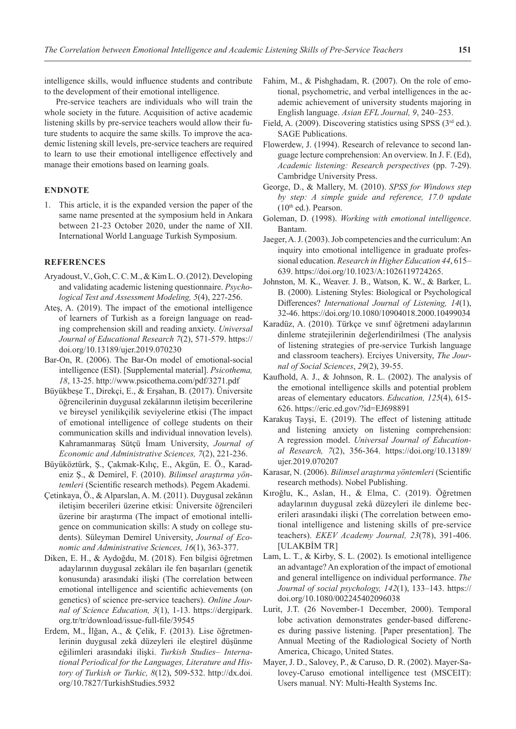intelligence skills, would influence students and contribute to the development of their emotional intelligence.

Pre-service teachers are individuals who will train the whole society in the future. Acquisition of active academic listening skills by pre-service teachers would allow their future students to acquire the same skills. To improve the academic listening skill levels, pre-service teachers are required to learn to use their emotional intelligence effectively and manage their emotions based on learning goals.

# **ENDNOTE**

1. This article, it is the expanded version the paper of the same name presented at the symposium held in Ankara between 21-23 October 2020, under the name of XII. International World Language Turkish Symposium.

### **REFERENCES**

- Aryadoust, V., Goh, C. C. M., & Kim L. O. (2012). Developing and validating academic listening questionnaire. *Psychological Test and Assessment Modeling, 5*(4), 227-256.
- Ateş, A. (2019). The impact of the emotional intelligence of learners of Turkish as a foreign language on reading comprehension skill and reading anxiety. *Universal Journal of Educational Research 7*(2), 571-579. https:// doi.org/10.13189/ujer.2019.070230
- Bar-On, R. (2006). The Bar-On model of emotional-social intelligence (ESI). [Supplemental material]. *Psicothema, 18*, 13-25. http://www.psicothema.com/pdf/3271.pdf
- Büyükbeşe T., Direkçi, E., & Erşahan, B. (2017). Üniversite öğrencilerinin duygusal zekâlarının iletişim becerilerine ve bireysel yenilikçilik seviyelerine etkisi (The impact of emotional intelligence of college students on their communication skills and individual innovation levels). Kahramanmaraş Sütçü İmam University, *Journal of Economic and Administrative Sciences, 7*(2), 221-236.
- Büyüköztürk, Ş., Çakmak-Kılıç, E., Akgün, E. Ö., Karadeniz Ş., & Demirel, F. (2010). *Bilimsel araştırma yöntemleri* (Scientific research methods). Pegem Akademi.
- Çetinkaya, Ö., & Alparslan, A. M. (2011). Duygusal zekânın iletişim becerileri üzerine etkisi: Üniversite öğrencileri üzerine bir araştırma (The impact of emotional intelligence on communication skills: A study on college students). Süleyman Demirel University, *Journal of Economic and Administrative Sciences, 16*(1), 363-377.
- Diken, E. H., & Aydoğdu, M. (2018). Fen bilgisi öğretmen adaylarının duygusal zekâları ile fen başarıları (genetik konusunda) arasındaki ilişki (The correlation between emotional intelligence and scientific achievements (on genetics) of science pre-service teachers). *Online Journal of Science Education, 3*(1), 1-13. https://dergipark. org.tr/tr/download/issue-full-file/39545
- Erdem, M., İlğan, A., & Çelik, F. (2013). Lise öğretmenlerinin duygusal zekâ düzeyleri ile eleştirel düşünme eğilimleri arasındaki ilişki. *Turkish Studies– International Periodical for the Languages, Literature and History of Turkish or Turkic, 8*(12), 509-532. http://dx.doi. org/10.7827/TurkishStudies.5932
- Fahim, M., & Pishghadam, R. (2007). On the role of emotional, psychometric, and verbal intelligences in the academic achievement of university students majoring in English language. *Asian EFL Journal, 9*, 240–253.
- Field, A. (2009). Discovering statistics using SPSS ( $3<sup>rd</sup>$  ed.). SAGE Publications.
- Flowerdew, J. (1994). Research of relevance to second language lecture comprehension: An overview. In J. F. (Ed), *Academic listening: Research perspectives* (pp. 7-29). Cambridge University Press.
- George, D., & Mallery, M. (2010). *SPSS for Windows step by step: A simple guide and reference, 17.0 update*  $(10<sup>th</sup>$  ed.). Pearson.
- Goleman, D. (1998). *Working with emotional intelligence*. Bantam.
- Jaeger, A. J. (2003). Job competencies and the curriculum: An inquiry into emotional intelligence in graduate professional education. *Research in Higher Education 44*, 615– 639. https://doi.org/10.1023/A:1026119724265.
- Johnston, M. K., Weaver. J. B., Watson, K. W., & Barker, L. B. (2000). Listening Styles: Biological or Psychological Differences? *International Journal of Listening, 14*(1), 32-46. https://doi.org/10.1080/10904018.2000.10499034
- Karadüz, A. (2010). Türkçe ve sınıf öğretmeni adaylarının dinleme stratejilerinin değerlendirilmesi (The analysis of listening strategies of pre-service Turkish language and classroom teachers). Erciyes University, *The Journal of Social Sciences*, *29*(2), 39-55.
- Kaufhold, A. J., & Johnson, R. L. (2002). The analysis of the emotional intelligence skills and potential problem areas of elementary educators. *Education, 125*(4), 615- 626. https://eric.ed.gov/?id=EJ698891
- Karakuş Tayşi, E. (2019). The effect of listening attitude and listening anxiety on listening comprehension: A regression model. *Universal Journal of Educational Research, 7*(2), 356-364. https://doi.org/10.13189/ ujer.2019.070207
- Karasar, N. (2006). *Bilimsel araştırma yöntemleri* (Scientific research methods). Nobel Publishing.
- Kıroğlu, K., Aslan, H., & Elma, C. (2019). Öğretmen adaylarının duygusal zekâ düzeyleri ile dinleme becerileri arasındaki ilişki (The correlation between emotional intelligence and listening skills of pre-service teachers). *EKEV Academy Journal, 23*(78), 391-406. [ULAKBİM TR]
- Lam, L. T., & Kirby, S. L. (2002). Is emotional intelligence an advantage? An exploration of the impact of emotional and general intelligence on individual performance. *The Journal of social psychology, 142*(1), 133–143. https:// doi.org/10.1080/002245402096038
- Lurit, J.T. (26 November-1 December, 2000). Temporal lobe activation demonstrates gender-based differences during passive listening. [Paper presentation]. The Annual Meeting of the Radiological Society of North America, Chicago, United States.
- Mayer, J. D., Salovey, P., & Caruso, D. R. (2002). Mayer-Salovey-Caruso emotional intelligence test (MSCEIT): Users manual. NY: Multi-Health Systems Inc.